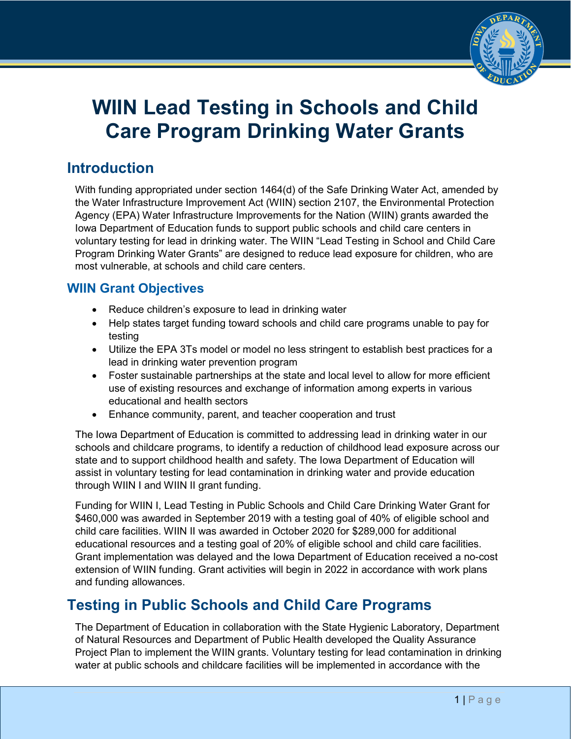

# **WIIN Lead Testing in Schools and Child Care Program Drinking Water Grants**

## **Introduction**

With funding appropriated under section 1464(d) of the Safe Drinking Water Act, amended by the Water Infrastructure Improvement Act (WIIN) section 2107, the Environmental Protection Agency (EPA) Water Infrastructure Improvements for the Nation (WIIN) grants awarded the Iowa Department of Education funds to support public schools and child care centers in voluntary testing for lead in drinking water. The WIIN "Lead Testing in School and Child Care Program Drinking Water Grants" are designed to reduce lead exposure for children, who are most vulnerable, at schools and child care centers.

#### **WIIN Grant Objectives**

- Reduce children's exposure to lead in drinking water
- Help states target funding toward schools and child care programs unable to pay for testing
- Utilize the EPA 3Ts model or model no less stringent to establish best practices for a lead in drinking water prevention program
- Foster sustainable partnerships at the state and local level to allow for more efficient use of existing resources and exchange of information among experts in various educational and health sectors
- Enhance community, parent, and teacher cooperation and trust

The Iowa Department of Education is committed to addressing lead in drinking water in our schools and childcare programs, to identify a reduction of childhood lead exposure across our state and to support childhood health and safety. The Iowa Department of Education will assist in voluntary testing for lead contamination in drinking water and provide education through WIIN I and WIIN II grant funding.

Funding for WIIN I, Lead Testing in Public Schools and Child Care Drinking Water Grant for \$460,000 was awarded in September 2019 with a testing goal of 40% of eligible school and child care facilities. WIIN II was awarded in October 2020 for \$289,000 for additional educational resources and a testing goal of 20% of eligible school and child care facilities. Grant implementation was delayed and the Iowa Department of Education received a no-cost extension of WIIN funding. Grant activities will begin in 2022 in accordance with work plans and funding allowances.

## **Testing in Public Schools and Child Care Programs**

The Department of Education in collaboration with the State Hygienic Laboratory, Department of Natural Resources and Department of Public Health developed the Quality Assurance Project Plan to implement the WIIN grants. Voluntary testing for lead contamination in drinking water at public schools and childcare facilities will be implemented in accordance with the